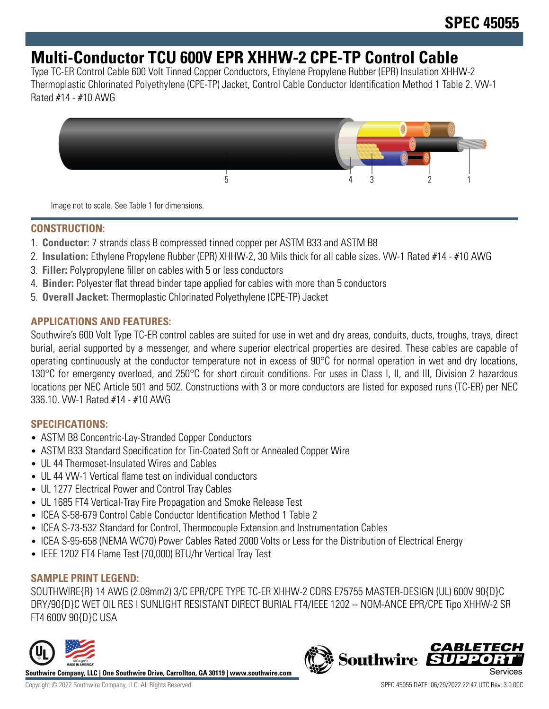## **Multi-Conductor TCU 600V EPR XHHW-2 CPE-TP Control Cable**

Type TC-ER Control Cable 600 Volt Tinned Copper Conductors, Ethylene Propylene Rubber (EPR) Insulation XHHW-2 Thermoplastic Chlorinated Polyethylene (CPE-TP) Jacket, Control Cable Conductor Identification Method 1 Table 2. VW-1 Rated #14 - #10 AWG



Image not to scale. See Table 1 for dimensions.

#### **CONSTRUCTION:**

- 1. **Conductor:** 7 strands class B compressed tinned copper per ASTM B33 and ASTM B8
- 2. **Insulation:** Ethylene Propylene Rubber (EPR) XHHW-2, 30 Mils thick for all cable sizes. VW-1 Rated #14 #10 AWG
- 3. **Filler:** Polypropylene filler on cables with 5 or less conductors
- 4. **Binder:** Polyester flat thread binder tape applied for cables with more than 5 conductors
- 5. **Overall Jacket:** Thermoplastic Chlorinated Polyethylene (CPE-TP) Jacket

#### **APPLICATIONS AND FEATURES:**

Southwire's 600 Volt Type TC-ER control cables are suited for use in wet and dry areas, conduits, ducts, troughs, trays, direct burial, aerial supported by a messenger, and where superior electrical properties are desired. These cables are capable of operating continuously at the conductor temperature not in excess of 90°C for normal operation in wet and dry locations, 130°C for emergency overload, and 250°C for short circuit conditions. For uses in Class I, II, and III, Division 2 hazardous locations per NEC Article 501 and 502. Constructions with 3 or more conductors are listed for exposed runs (TC-ER) per NEC 336.10. VW-1 Rated #14 - #10 AWG

### **SPECIFICATIONS:**

- ASTM B8 Concentric-Lay-Stranded Copper Conductors
- ASTM B33 Standard Specification for Tin-Coated Soft or Annealed Copper Wire
- UL 44 Thermoset-Insulated Wires and Cables
- UL 44 VW-1 Vertical flame test on individual conductors
- UL 1277 Electrical Power and Control Tray Cables
- UL 1685 FT4 Vertical-Tray Fire Propagation and Smoke Release Test
- ICEA S-58-679 Control Cable Conductor Identification Method 1 Table 2
- ICEA S-73-532 Standard for Control, Thermocouple Extension and Instrumentation Cables
- ICEA S-95-658 (NEMA WC70) Power Cables Rated 2000 Volts or Less for the Distribution of Electrical Energy
- IEEE 1202 FT4 Flame Test (70,000) BTU/hr Vertical Tray Test

### **SAMPLE PRINT LEGEND:**

SOUTHWIRE{R} 14 AWG (2.08mm2) 3/C EPR/CPE TYPE TC-ER XHHW-2 CDRS E75755 MASTER-DESIGN (UL) 600V 90{D}C DRY/90{D}C WET OIL RES I SUNLIGHT RESISTANT DIRECT BURIAL FT4/IEEE 1202 -- NOM-ANCE EPR/CPE Tipo XHHW-2 SR FT4 600V 90{D}C USA



**Southwire Company, LLC | One Southwire Drive, Carrollton, GA 30119 | www.southwire.com**

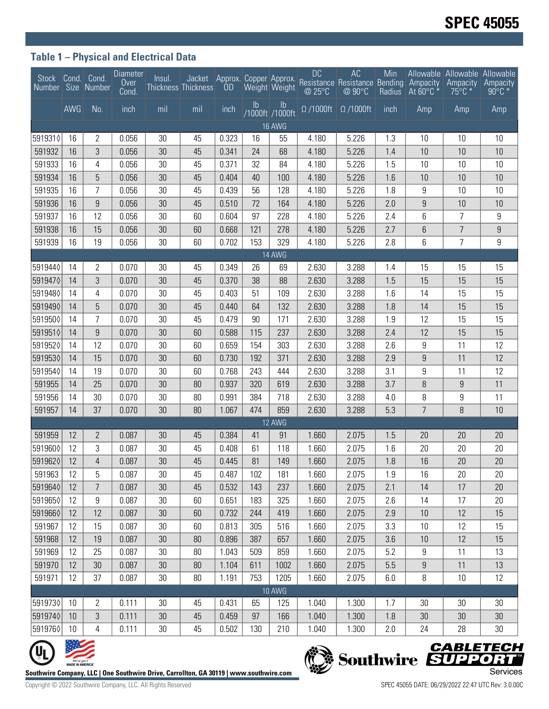## **Table 1 – Physical and Electrical Data**

| Stock Cond. Cond.<br>Number Size Number |                                                                                                                                                                     |                | <b>Diameter</b><br>Over<br>Cond. | Insul. | Jacket<br><b>Thickness Thickness</b> | <b>OD</b> | Approx. Copper Approx. | Weight Weight                    | <b>DC</b><br>@ 25°C         | AC<br>Resistance Resistance Bending Ampacity<br>@90°C | Min<br><b>Radius</b> | At 60°C *        | Allowable Allowable Allowable<br>Ampacity<br>$75^{\circ}$ C $*$ | Ampacity<br>$90^{\circ}$ C $*$ |
|-----------------------------------------|---------------------------------------------------------------------------------------------------------------------------------------------------------------------|----------------|----------------------------------|--------|--------------------------------------|-----------|------------------------|----------------------------------|-----------------------------|-------------------------------------------------------|----------------------|------------------|-----------------------------------------------------------------|--------------------------------|
|                                         | AWG                                                                                                                                                                 | No.            | inch                             | mil    | mil                                  | inch      | $\mathsf{lb}$          | $\mathsf{lb}$<br>/1000ft /1000ft | $\overline{\Omega}$ /1000ft | $\Omega$ /1000ft                                      | inch                 | Amp              | Amp                                                             | Amp                            |
| <b>16 AWG</b>                           |                                                                                                                                                                     |                |                                  |        |                                      |           |                        |                                  |                             |                                                       |                      |                  |                                                                 |                                |
| 5919310                                 | 16                                                                                                                                                                  | 2              | 0.056                            | 30     | 45                                   | 0.323     | 16                     | 55                               | 4.180                       | 5.226                                                 | 1.3                  | 10               | 10                                                              | 10                             |
| 591932                                  | 16                                                                                                                                                                  | 3              | 0.056                            | 30     | 45                                   | 0.341     | 24                     | 68                               | 4.180                       | 5.226                                                 | 1.4                  | 10               | 10                                                              | 10                             |
| 591933                                  | 16                                                                                                                                                                  | 4              | 0.056                            | 30     | 45                                   | 0.371     | 32                     | 84                               | 4.180                       | 5.226                                                 | 1.5                  | 10               | 10                                                              | 10                             |
| 591934                                  | 16                                                                                                                                                                  | 5              | 0.056                            | 30     | 45                                   | 0.404     | 40                     | 100                              | 4.180                       | 5.226                                                 | 1.6                  | 10               | 10                                                              | 10                             |
| 591935                                  | 16                                                                                                                                                                  | 7              | 0.056                            | 30     | 45                                   | 0.439     | 56                     | 128                              | 4.180                       | 5.226                                                 | 1.8                  | 9                | 10                                                              | 10                             |
| 591936                                  | 16                                                                                                                                                                  | 9              | 0.056                            | 30     | 45                                   | 0.510     | 72                     | 164                              | 4.180                       | 5.226                                                 | 2.0                  | 9                | 10                                                              | 10                             |
| 591937                                  | 16                                                                                                                                                                  | 12             | 0.056                            | 30     | 60                                   | 0.604     | 97                     | 228                              | 4.180                       | 5.226                                                 | 2.4                  | 6                | 7                                                               | 9                              |
| 591938                                  | 16                                                                                                                                                                  | 15             | 0.056                            | 30     | 60                                   | 0.668     | 121                    | 278                              | 4.180                       | 5.226                                                 | 2.7                  | 6                | $\overline{7}$                                                  | $9\,$                          |
| 591939                                  | 16                                                                                                                                                                  | 19             | 0.056                            | 30     | 60                                   | 0.702     | 153                    | 329                              | 4.180                       | 5.226                                                 | 2.8                  | 6                | $\overline{7}$                                                  | 9                              |
| 14 AWG                                  |                                                                                                                                                                     |                |                                  |        |                                      |           |                        |                                  |                             |                                                       |                      |                  |                                                                 |                                |
| 5919440                                 | 14                                                                                                                                                                  | 2              | 0.070                            | 30     | 45                                   | 0.349     | 26                     | 69                               | 2.630                       | 3.288                                                 | 1.4                  | 15               | 15                                                              | 15                             |
| 5919470                                 | 14                                                                                                                                                                  | 3              | 0.070                            | 30     | 45                                   | 0.370     | 38                     | 88                               | 2.630                       | 3.288                                                 | 1.5                  | 15               | 15                                                              | 15                             |
| 5919480                                 | 14                                                                                                                                                                  | 4              | 0.070                            | 30     | 45                                   | 0.403     | 51                     | 109                              | 2.630                       | 3.288                                                 | 1.6                  | 14               | 15                                                              | 15                             |
| 5919490                                 | 14                                                                                                                                                                  | 5              | 0.070                            | 30     | 45                                   | 0.440     | 64                     | 132                              | 2.630                       | 3.288                                                 | 1.8                  | 14               | 15                                                              | 15                             |
| 5919500                                 | 14                                                                                                                                                                  | 7              | 0.070                            | 30     | 45                                   | 0.479     | 90                     | 171                              | 2.630                       | 3.288                                                 | 1.9                  | 12               | 15                                                              | 15                             |
| 5919510                                 | 14                                                                                                                                                                  | 9              | 0.070                            | 30     | 60                                   | 0.588     | 115                    | 237                              | 2.630                       | 3.288                                                 | 2.4                  | 12               | 15                                                              | 15                             |
| 5919520                                 | 14                                                                                                                                                                  | 12             | 0.070                            | 30     | 60                                   | 0.659     | 154                    | 303                              | 2.630                       | 3.288                                                 | 2.6                  | 9                | 11                                                              | 12                             |
| 5919530                                 | 14                                                                                                                                                                  | 15             | 0.070                            | 30     | 60                                   | 0.730     | 192                    | 371                              | 2.630                       | 3.288                                                 | 2.9                  | $\boldsymbol{9}$ | 11                                                              | 12                             |
| 5919540                                 | 14                                                                                                                                                                  | 19             | 0.070                            | 30     | 60                                   | 0.768     | 243                    | 444                              | 2.630                       | 3.288                                                 | 3.1                  | 9                | 11                                                              | 12                             |
| 591955                                  | 14                                                                                                                                                                  | 25             | 0.070                            | 30     | 80                                   | 0.937     | 320                    | 619                              | 2.630                       | 3.288                                                 | 3.7                  | 8                | 9                                                               | 11                             |
| 591956                                  | 14                                                                                                                                                                  | 30             | 0.070                            | 30     | 80                                   | 0.991     | 384                    | 718                              | 2.630                       | 3.288                                                 | 4.0                  | 8                | 9                                                               | 11                             |
| 591957                                  | 14                                                                                                                                                                  | 37             | 0.070                            | 30     | 80                                   | 1.067     | 474                    | 859                              | 2.630                       | 3.288                                                 | 5.3                  | $\overline{7}$   | 8                                                               | 10                             |
|                                         |                                                                                                                                                                     |                |                                  |        |                                      |           |                        | 12 AWG                           |                             |                                                       |                      |                  |                                                                 |                                |
| 591959                                  | 12                                                                                                                                                                  | $\overline{2}$ | 0.087                            | 30     | 45                                   | 0.384     | 41                     | 91                               | 1.660                       | 2.075                                                 | 1.5                  | 20               | 20                                                              | 20                             |
| 5919600                                 | 12                                                                                                                                                                  | 3              | 0.087                            | 30     | 45                                   | 0.408     | 61                     | 118                              | 1.660                       | 2.075                                                 | 1.6                  | 20               | 20                                                              | 20                             |
| 5919620                                 | 12                                                                                                                                                                  | 4              | 0.087                            | 30     | 45                                   | 0.445     | 81                     | 149                              | 1.660                       | 2.075                                                 | 1.8                  | 16               | 20                                                              | 20                             |
| 591963                                  | 12                                                                                                                                                                  | 5              | 0.087                            | 30     | 45                                   | 0.487     | 102                    | 181                              | 1.660                       | 2.075                                                 | 1.9                  | 16               | 20                                                              | 20                             |
| 5919640                                 | 12                                                                                                                                                                  | $\overline{7}$ | 0.087                            | 30     | 45                                   | 0.532     | 143                    | 237                              | 1.660                       | 2.075                                                 | 2.1                  | 14               | 17                                                              | $20\,$                         |
| 5919650                                 | 12                                                                                                                                                                  | 9              | 0.087                            | $30\,$ | 60                                   | 0.651     | 183                    | 325                              | 1.660                       | 2.075                                                 | 2.6                  | 14               | 17                                                              | 20                             |
| 5919660                                 | 12                                                                                                                                                                  | 12             | 0.087                            | 30     | 60                                   | 0.732     | 244                    | 419                              | 1.660                       | 2.075                                                 | 2.9                  | 10               | 12                                                              | 15                             |
| 591967                                  | 12                                                                                                                                                                  | 15             | 0.087                            | 30     | 60                                   | 0.813     | 305                    | 516                              | 1.660                       | 2.075                                                 | 3.3                  | 10               | 12                                                              | 15                             |
| 591968                                  | 12                                                                                                                                                                  | 19             | 0.087                            | 30     | 80                                   | 0.896     | 387                    | 657                              | 1.660                       | 2.075                                                 | 3.6                  | 10               | 12                                                              | 15                             |
| 591969                                  | 12                                                                                                                                                                  | 25             | 0.087                            | $30\,$ | 80                                   | 1.043     | 509                    | 859                              | 1.660                       | 2.075                                                 | 5.2                  | 9                | 11                                                              | 13                             |
| 591970                                  | 12                                                                                                                                                                  | 30             | 0.087                            | 30     | $80\,$                               | 1.104     | 611                    | 1002                             | 1.660                       | 2.075                                                 | 5.5                  | $\boldsymbol{9}$ | 11                                                              | 13                             |
| 591971                                  | 12                                                                                                                                                                  | 37             | 0.087                            | $30\,$ | 80                                   | 1.191     | 753                    | 1205                             | 1.660                       | 2.075                                                 | 6.0                  | 8                | 10                                                              | 12                             |
|                                         |                                                                                                                                                                     |                |                                  |        |                                      |           |                        | <b>10 AWG</b>                    |                             |                                                       |                      |                  |                                                                 |                                |
| 5919730                                 | 10                                                                                                                                                                  | $\overline{2}$ | 0.111                            | 30     | 45                                   | 0.431     | 65                     | 125                              | 1.040                       | 1.300                                                 | 1.7                  | 30               | 30                                                              | 30                             |
| 5919740                                 | 10                                                                                                                                                                  | 3              | 0.111                            | 30     | 45                                   | 0.459     | 97                     | 166                              | 1.040                       | 1.300                                                 | 1.8                  | 30               | 30                                                              | 30 <sup>°</sup>                |
| 5919760                                 | 10                                                                                                                                                                  | 4              | 0.111                            | $30\,$ | 45                                   | 0.502     | 130                    | 210                              | 1.040                       | 1.300                                                 | 2.0                  | 24               | 28                                                              | 30                             |
|                                         |                                                                                                                                                                     |                |                                  |        |                                      |           |                        |                                  |                             |                                                       |                      |                  |                                                                 |                                |
|                                         | <b>CABLETECH</b><br>Southwire SUPPORT<br>We've got it<br>MADE IN AMERICA"<br>Southwire Company, LLC   One Southwire Drive, Carrollton, GA 30119   www.southwire.com |                |                                  |        |                                      |           |                        |                                  |                             |                                                       |                      | Services         |                                                                 |                                |